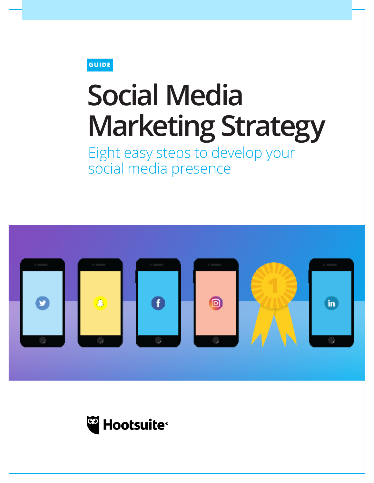**GUIDE** 

# **Social Media Marketing Strategy**

Eight easy steps to develop your social media presence



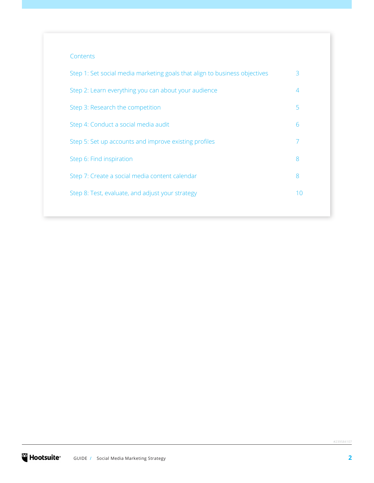#### **Contents**

| Step 1: Set social media marketing goals that align to business objectives | 3  |
|----------------------------------------------------------------------------|----|
| Step 2: Learn everything you can about your audience                       | 4  |
| Step 3: Research the competition                                           | 5  |
| Step 4: Conduct a social media audit                                       | 6  |
| Step 5: Set up accounts and improve existing profiles                      | 7  |
| Step 6: Find inspiration                                                   | 8  |
| Step 7: Create a social media content calendar                             | 8  |
| Step 8: Test, evaluate, and adjust your strategy                           | 10 |
|                                                                            |    |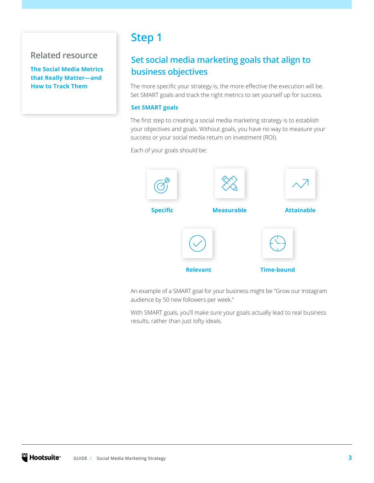# <span id="page-2-0"></span>**Related resource**

**The [Social Media Metrics](https://blog.hootsuite.com/social-media-metrics/)  [that Really Matter—and](https://blog.hootsuite.com/social-media-metrics/)  [How to Track Them](https://blog.hootsuite.com/social-media-metrics/)**

# **Step 1**

# **Set social media marketing goals that align to business objectives**

The more specific your strategy is, the more effective the execution will be. Set SMART goals and track the right metrics to set yourself up for success.

#### **Set SMART goals**

The first step to creating a social media marketing strategy is to establish your objectives and goals. Without goals, you have no way to measure your success or your social media return on investment (ROI).

Each of your goals should be:



An example of a SMART goal for your business might be "Grow our Instagram audience by 50 new followers per week."

With SMART goals, you'll make sure your goals actually lead to real business results, rather than just lofty ideals.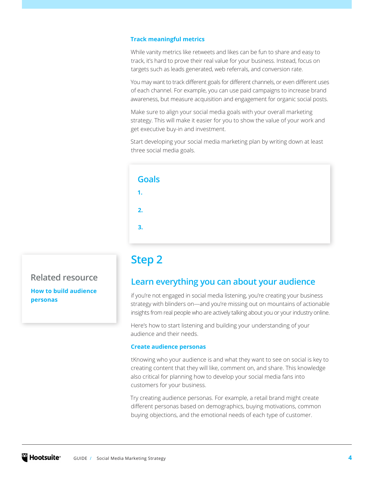#### <span id="page-3-0"></span>**Track meaningful metrics**

While vanity metrics like retweets and likes can be fun to share and easy to track, it's hard to prove their real value for your business. Instead, focus on targets such as leads generated, web referrals, and conversion rate.

You may want to track different goals for different channels, or even different uses of each channel. For example, you can use paid campaigns to increase brand awareness, but measure acquisition and engagement for organic social posts.

Make sure to align your social media goals with your overall marketing strategy. This will make it easier for you to show the value of your work and get executive buy-in and investment.

Start developing your social media marketing plan by writing down at least three social media goals.

| <b>Goals</b>   |  |  |
|----------------|--|--|
| $\mathbf{1}$ . |  |  |
| 2.             |  |  |
| 3.             |  |  |
|                |  |  |

# **Step 2**

## **Learn everything you can about your audience**

if you're not engaged in social media listening, you're creating your business strategy with blinders on—and you're missing out on mountains of actionable insights from real people who are actively talking about you or your industry online.

Here's how to start listening and building your understanding of your audience and their needs.

#### **Create audience personas**

tKnowing who your audience is and what they want to see on social is key to creating content that they will like, comment on, and share. This knowledge also critical for planning how to develop your social media fans into customers for your business.

Try creating audience personas. For example, a retail brand might create different personas based on demographics, buying motivations, common buying objections, and the emotional needs of each type of customer.

# **Related resource**

**[How to build audience](https://blog.hootsuite.com/how-to-create-audience-personas/)  [personas](https://blog.hootsuite.com/how-to-create-audience-personas/)**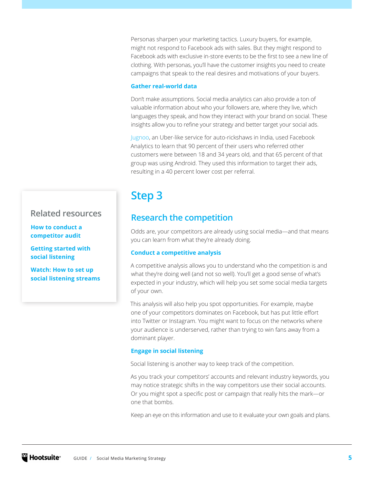<span id="page-4-0"></span>Personas sharpen your marketing tactics. Luxury buyers, for example, might not respond to Facebook ads with sales. But they might respond to Facebook ads with exclusive in-store events to be the first to see a new line of clothing. With personas, you'll have the customer insights you need to create campaigns that speak to the real desires and motivations of your buyers.

#### **Gather real-world data**

Don't make assumptions. Social media analytics can also provide a ton of valuable information about who your followers are, where they live, which languages they speak, and how they interact with your brand on social. These insights allow you to refine your strategy and better target your social ads.

[Jugnoo](https://www.jugnoo.in/), an Uber-like service for auto-rickshaws in India, used Facebook Analytics to learn that 90 percent of their users who referred other customers were between 18 and 34 years old, and that 65 percent of that group was using Android. They used this information to target their ads, resulting in a 40 percent lower cost per referral.

# **Step 3**

## **Research the competition**

Odds are, your competitors are already using social media—and that means you can learn from what they're already doing.

#### **Conduct a competitive analysis**

A competitive analysis allows you to understand who the competition is and what they're doing well (and not so well). You'll get a good sense of what's expected in your industry, which will help you set some social media targets of your own.

This analysis will also help you spot opportunities. For example, maybe one of your competitors dominates on Facebook, but has put little effort into Twitter or Instagram. You might want to focus on the networks where your audience is underserved, rather than trying to win fans away from a dominant player.

#### **Engage in social listening**

Social listening is another way to keep track of the competition.

As you track your competitors' accounts and relevant industry keywords, you may notice strategic shifts in the way competitors use their social accounts. Or you might spot a specific post or campaign that really hits the mark—or one that bombs.

Keep an eye on this information and use to it evaluate your own goals and plans.

## **Related resources**

**[How to conduct a](https://blog.hootsuite.com/competitive-analysis-on-social-media/)  [competitor audit](https://blog.hootsuite.com/competitive-analysis-on-social-media/)** 

**[Getting started with](https://blog.hootsuite.com/social-listening-business/)  [social listening](https://blog.hootsuite.com/social-listening-business/)** 

**[Watch: How to set up](https://www.youtube.com/watch?v=sIjUfy6ysK8)  [social listening streams](https://www.youtube.com/watch?v=sIjUfy6ysK8)**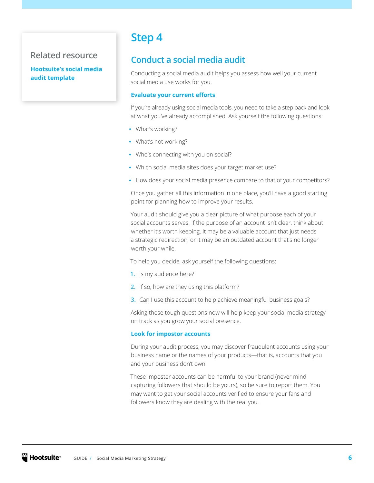## <span id="page-5-0"></span>**Related resource**

**[Hootsuite's social media](https://blog.hootsuite.com/social-media-audit-template/)  [audit template](https://blog.hootsuite.com/social-media-audit-template/)**

# **Step 4**

## **Conduct a social media audit**

Conducting a social media audit helps you assess how well your current social media use works for you.

#### **Evaluate your current efforts**

If you're already using social media tools, you need to take a step back and look at what you've already accomplished. Ask yourself the following questions:

- **•** What's working?
- **•** What's not working?
- **•** Who's connecting with you on social?
- **•** Which social media sites does your target market use?
- **•** How does your social media presence compare to that of your competitors?

Once you gather all this information in one place, you'll have a good starting point for planning how to improve your results.

Your audit should give you a clear picture of what purpose each of your social accounts serves. If the purpose of an account isn't clear, think about whether it's worth keeping. It may be a valuable account that just needs a strategic redirection, or it may be an outdated account that's no longer worth your while.

To help you decide, ask yourself the following questions:

- **1.** Is my audience here?
- **2.** If so, how are they using this platform?
- **3.** Can I use this account to help achieve meaningful business goals?

Asking these tough questions now will help keep your social media strategy on track as you grow your social presence.

#### **Look for impostor accounts**

During your audit process, you may discover fraudulent accounts using your business name or the names of your products—that is, accounts that you and your business don't own.

These imposter accounts can be harmful to your brand (never mind capturing followers that should be yours), so be sure to report them. You may want to get your social accounts verified to ensure your fans and followers know they are dealing with the real you.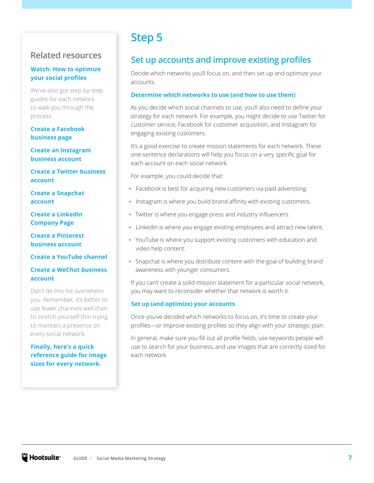## <span id="page-6-0"></span>**Related resources**

#### **[Watch: How to optimize](https://www.youtube.com/watch?v=nsAzcXQzfbo&feature=youtu.be)  [your social profiles](https://www.youtube.com/watch?v=nsAzcXQzfbo&feature=youtu.be)**

We've also got step-by-step guides for each network to walk you through the process:

#### **[Create a Facebook](https://blog.hootsuite.com/steps-to-create-a-facebook-business-page/)  [business page](https://blog.hootsuite.com/steps-to-create-a-facebook-business-page/)**

**[Create an Instagram](https://blog.hootsuite.com/how-to-use-instagram-for-business/#howto)  [business account](https://blog.hootsuite.com/how-to-use-instagram-for-business/#howto)**

**[Create a Twitter business](https://blog.hootsuite.com/twitter-bio-ideas/)  [account](https://blog.hootsuite.com/twitter-bio-ideas/)**

**[Create a Snapchat](https://blog.hootsuite.com/how-to-use-snapchat-beginners-guide/#account)  [account](https://blog.hootsuite.com/how-to-use-snapchat-beginners-guide/#account)**

**[Create a LinkedIn](https://blog.hootsuite.com/linkedin-for-business/)  [Company Page](https://blog.hootsuite.com/linkedin-for-business/)**

**[Create a Pinterest](https://blog.hootsuite.com/how-to-use-pinterest-for-business/)  [business account](https://blog.hootsuite.com/how-to-use-pinterest-for-business/)**

#### **[Create a YouTube channel](https://blog.hootsuite.com/how-to-create-a-youtube-account-channel/)**

#### **[Create a WeChat business](https://blog.hootsuite.com/wechat-marketing/)  [account](https://blog.hootsuite.com/wechat-marketing/)**

Don't let this list overwhelm you. Remember, it's better to use fewer channels well than to stretch yourself thin trying to maintain a presence on every social network.

**[Finally, here's a quick](https://blog.hootsuite.com/social-media-image-sizes-guide/)  [reference guide for image](https://blog.hootsuite.com/social-media-image-sizes-guide/)  [sizes for every network.](https://blog.hootsuite.com/social-media-image-sizes-guide/)**

# **Step 5**

# **Set up accounts and improve existing profiles**

Decide which networks you'll focus on, and then set up and optimize your accounts.

#### **Determine which networks to use (and how to use them)**

As you decide which social channels to use, you'll also need to define your strategy for each network. For example, you might decide to use Twitter for customer service, Facebook for customer acquisition, and Instagram for engaging existing customers.

It's a good exercise to create mission statements for each network. These one-sentence declarations will help you focus on a very specific goal for each account on each social network.

For example, you could decide that:

- **•** Facebook is best for acquiring new customers via paid advertising.
- **•** Instagram is where you build brand affinity with existing customers.
- **•** Twitter is where you engage press and industry influencers.
- **•** LinkedIn is where you engage existing employees and attract new talent.
- **•** YouTube is where you support existing customers with education and video help content.
- **•** Snapchat is where you distribute content with the goal of building brand awareness with younger consumers.

If you can't create a solid mission statement for a particular social network, you may want to reconsider whether that network is worth it.

#### **Set up (and optimize) your accounts**

Once you've decided which networks to focus on, it's time to create your profiles—or improve existing profiles so they align with your strategic plan.

In general, make sure you fill out all profile fields, use keywords people will use to search for your business, and use images that are correctly sized for each network.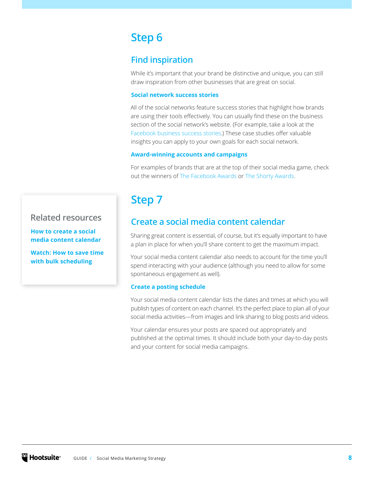# <span id="page-7-0"></span>**Step 6**

# **Find inspiration**

While it's important that your brand be distinctive and unique, you can still draw inspiration from other businesses that are great on social.

#### **Social network success stories**

All of the social networks feature success stories that highlight how brands are using their tools effectively. You can usually find these on the business section of the social network's website. (For example, take a look at the [Facebook business success stories](https://www.facebook.com/business/success).) These case studies offer valuable insights you can apply to your own goals for each social network.

#### **Award-winning accounts and campaigns**

For examples of brands that are at the top of their social media game, check out the winners of [The Facebook Awards](https://www.facebook.com/business/news/facebook-awards-winners-announcement) or [The Shorty Awards](http://shortyawards.com/).

# **Step 7**

## **Create a social media content calendar**

Sharing great content is essential, of course, but it's equally important to have a plan in place for when you'll share content to get the maximum impact.

Your social media content calendar also needs to account for the time you'll spend interacting with your audience (although you need to allow for some spontaneous engagement as well).

#### **Create a posting schedule**

Your social media content calendar lists the dates and times at which you will publish types of content on each channel. It's the perfect place to plan all of your social media activities—from images and link sharing to blog posts and videos.

Your calendar ensures your posts are spaced out appropriately and published at the optimal times. It should include both your day-to-day posts and your content for social media campaigns.

## **Related resources**

**[How to create a social](https://blog.hootsuite.com/how-to-create-a-social-media-content-calendar/)  [media content calendar](https://blog.hootsuite.com/how-to-create-a-social-media-content-calendar/)**

**[Watch: How to save time](https://www.youtube.com/watch?v=n5fHClt54hU)  [with bulk scheduling](https://www.youtube.com/watch?v=n5fHClt54hU)**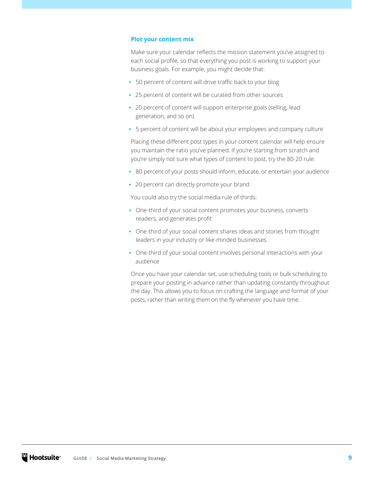#### **Plot your content mix**

Make sure your calendar reflects the mission statement you've assigned to each social profile, so that everything you post is working to support your business goals. For example, you might decide that:

- **•** 50 percent of content will drive traffic back to your blog
- **•** 25 percent of content will be curated from other sources
- **•** 20 percent of content will support enterprise goals (selling, lead generation, and so on)
- **•** 5 percent of content will be about your employees and company culture

Placing these different post types in your content calendar will help ensure you maintain the ratio you've planned. If you're starting from scratch and you're simply not sure what types of content to post, try the 80-20 rule:

- **•** 80 percent of your posts should inform, educate, or entertain your audience
- **•** 20 percent can directly promote your brand

You could also try the social media rule of thirds:

- **•** One-third of your social content promotes your business, converts readers, and generates profit
- **•** One-third of your social content shares ideas and stories from thought leaders in your industry or like-minded businesses
- **•** One-third of your social content involves personal interactions with your audience

Once you have your calendar set, use scheduling tools or bulk scheduling to prepare your posting in advance rather than updating constantly throughout the day. This allows you to focus on crafting the language and format of your posts, rather than writing them on the fly whenever you have time.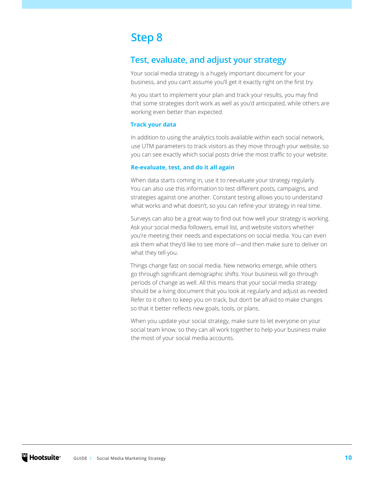# <span id="page-9-0"></span>**Step 8**

# **Test, evaluate, and adjust your strategy**

Your social media strategy is a hugely important document for your business, and you can't assume you'll get it exactly right on the first try.

As you start to implement your plan and track your results, you may find that some strategies don't work as well as you'd anticipated, while others are working even better than expected.

#### **Track your data**

In addition to using the analytics tools available within each social network, use UTM parameters to track visitors as they move through your website, so you can see exactly which social posts drive the most traffic to your website.

#### **Re-evaluate, test, and do it all again**

When data starts coming in, use it to reevaluate your strategy regularly. You can also use this information to test different posts, campaigns, and strategies against one another. Constant testing allows you to understand what works and what doesn't, so you can refine your strategy in real time.

Surveys can also be a great way to find out how well your strategy is working. Ask your social media followers, email list, and website visitors whether you're meeting their needs and expectations on social media. You can even ask them what they'd like to see more of—and then make sure to deliver on what they tell you.

Things change fast on social media. New networks emerge, while others go through significant demographic shifts. Your business will go through periods of change as well. All this means that your social media strategy should be a living document that you look at regularly and adjust as needed. Refer to it often to keep you on track, but don't be afraid to make changes so that it better reflects new goals, tools, or plans.

When you update your social strategy, make sure to let everyone on your social team know, so they can all work together to help your business make the most of your social media accounts.